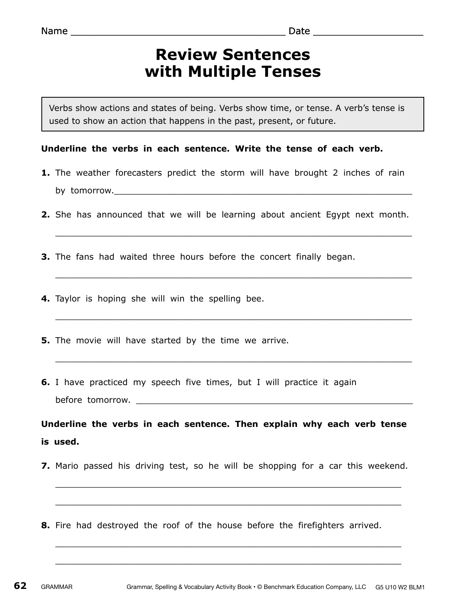## **Review Sentences with Multiple Tenses**

Verbs show actions and states of being. Verbs show time, or tense. A verb's tense is used to show an action that happens in the past, present, or future.

## **Underline the verbs in each sentence. Write the tense of each verb.**

- **1.** The weather forecasters predict the storm will have brought 2 inches of rain by tomorrow.
- **2.** She has announced that we will be learning about ancient Egypt next month.

 $\_$  , and the contribution of the contribution of  $\mathcal{L}_1$  , and  $\mathcal{L}_2$  , and  $\mathcal{L}_3$  , and  $\mathcal{L}_4$  , and  $\mathcal{L}_5$  , and  $\mathcal{L}_6$  , and  $\mathcal{L}_7$  , and  $\mathcal{L}_8$  , and  $\mathcal{L}_7$  , and  $\mathcal{L}_8$  , and  $\mathcal{L}_9$  ,

 $\_$  , and the set of the set of the set of the set of the set of the set of the set of the set of the set of the set of the set of the set of the set of the set of the set of the set of the set of the set of the set of th

 $\_$  , and the contribution of the contribution of  $\mathcal{L}_\mathcal{A}$  , and the contribution of  $\mathcal{L}_\mathcal{A}$ 

 $\_$  , and the contribution of the contribution of  $\mathcal{L}_1$  , and  $\mathcal{L}_2$  , and  $\mathcal{L}_3$  , and  $\mathcal{L}_4$  , and  $\mathcal{L}_5$  , and  $\mathcal{L}_6$  , and  $\mathcal{L}_7$  , and  $\mathcal{L}_8$  , and  $\mathcal{L}_7$  , and  $\mathcal{L}_8$  , and  $\mathcal{L}_9$  ,

- **3.** The fans had waited three hours before the concert finally began.
- **4.** Taylor is hoping she will win the spelling bee.
- **5.** The movie will have started by the time we arrive.
- **6.** I have practiced my speech five times, but I will practice it again before tomorrow.  $\Box$

**Underline the verbs in each sentence. Then explain why each verb tense is used.**

**7.** Mario passed his driving test, so he will be shopping for a car this weekend.

 $\_$  , and the set of the set of the set of the set of the set of the set of the set of the set of the set of the set of the set of the set of the set of the set of the set of the set of the set of the set of the set of th

 $\_$  , and the contribution of the contribution of  $\mathcal{L}_\mathcal{A}$  , and the contribution of  $\mathcal{L}_\mathcal{A}$ 

 $\_$  , and the set of the set of the set of the set of the set of the set of the set of the set of the set of the set of the set of the set of the set of the set of the set of the set of the set of the set of the set of th

 $\_$  , and the contribution of the contribution of  $\mathcal{L}_\mathcal{A}$  , and the contribution of  $\mathcal{L}_\mathcal{A}$ 

**8.** Fire had destroyed the roof of the house before the firefighters arrived.